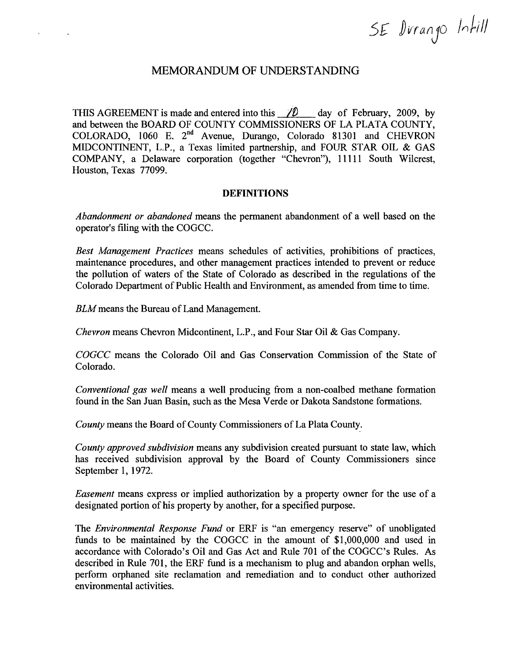SE Durango Intill

# MEMORANDUM OF UNDERSTANDING

THIS AGREEMENT is made and entered into this  $\angle$  10 day of February, 2009, by and between the BOARD OF COUNTY COMMISSIONERS OF LA PLATA COUNTY, COLORADO, 1060 E. 2nd Avenue, Durango, Colorado 81301 and CHEVRON MIDCONTINENT, L.P., a Texas limited partnership, and FOUR STAR OIL & GAS COMPANY, a Delaware corporation (together "Chevron"), 11111 South Wilcrest, Houston, Texas 77099.

### DEFINITIONS

*Abandonment or abandoned* means the permanent abandonment of a well based on the operator's filing with the COGCC.

*Best Management Practices* means schedules of activities, prohibitions of practices, maintenance' procedures, and other management practices intended to prevent or reduce the pollution of waters of the State of Colorado as described in the regulations of the Colorado Department of Public Health and Environment, as amended from time to time.

*BLM* means the Bureau of Land Management.

 $\bar{1}$ 

 $\ddot{\phantom{0}}$ 

*Chevron* means Chevron Midcontinent, L.P., and Four Star Oil & Gas Company.

*COGCC* means the Colorado Oil and Gas Conservation Commission of the State of Colorado.

*Conventional gas well* means a well producing from a non-coalbed methane formation found in the San Juan Basin, such as the Mesa Verde or Dakota Sandstone formations.

County means the Board of County Commissioners of La Plata County.

*County approved subdivision* means any subdivision created pursuant to state law, which has received subdivision approval by the Board of County Commissioners since September 1, 1972.

*Easement* means express or implied authorization by a property owner for the use of a designated portion of his property by another, for a specified purpose.

The *Environmental Response Fund* or ERF is "an emergency reserve" of unobligated funds to be maintained by the COGCC in the amount of \$1,000,000 and used in accordance with Colorado's Oil and Gas Act and Rule 701 of the COGCC's Rules. As described in Rule 701, the ERF fund is a mechanism to plug and abandon orphan wells, perform orphaned site reclamation and remediation and to conduct other authorized environmental activities.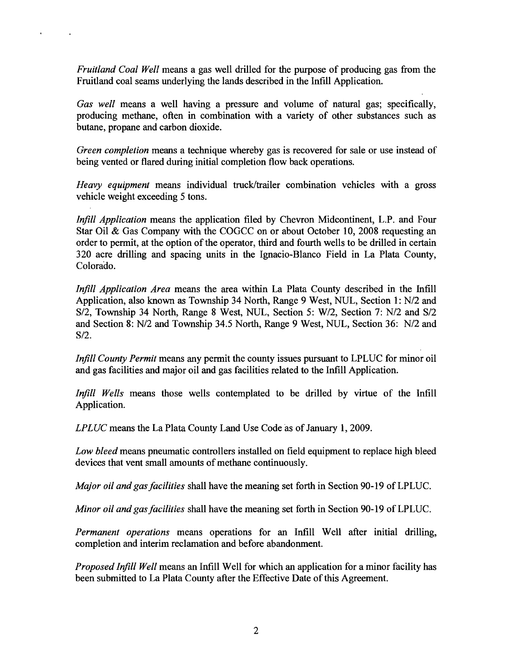*Fruitland Coal Well* means a gas well drilled for the purpose of producing gas from the Fruitland coal seams underlying the lands described in the Infill Application.

 $\overline{1}$ 

 $\ddot{\phantom{a}}$ 

*Gas well* means a well having a pressure and volume of natural gas; specifically, producing methane, often in combination with a variety of other substances such as butane, propane and carbon dioxide.

*Green completion* means a technique whereby gas is recovered for sale or use instead of being vented or flared during initial completion flow back operations.

*Heavy equipment* means individual truck/trailer combination vehicles with a gross vehicle weight exceeding 5 tons.

*Infill Application* means the application filed by Chevron Midcontinent, L.P. and Four Star Oil & Gas Company with the COGCC on or about October 10, 2008 requesting an order to permit, at the option of the operator, third and fourth wells to be drilled in certain 320 acre drilling and spacing units in the Ignacio-Blanco Field in La Plata County, Colorado.

*Injill Application Area* means the area within La Plata County described in the Infill Application, also known as Township 34 North, Range 9 West, NUL, Section 1: N/2 and S/2, Township 34 North, Range 8 West, NUL, Section 5: W/2, Section 7: N/2 and S/2 and Section 8: N/2 and Township 34.5 North, Range 9 West, NUL, Section 36: N/2 and S/2.

*Infill County Permit* means any permit the county issues pursuant to LPLUC for minor oil and gas facilities and major oil and gas facilities related to the Intill Application.

*Infill Wells* means those wells contemplated to be drilled by virtue of the Infill Application.

*LPLUC* means the La Plata County Land Use Code as of January 1, 2009.

*Low bleed* means pneumatic controllers installed on field equipment to replace high bleed devices that vent small amounts of methane continuously.

*Major oil and gas facilities* shall have the meaning set forth in Section 90-19 of LPLUC.

*Minor oil and gasfacilities* shall have the meaning set forth in Section 90-19 of LPLUC.

*Permanent operations* means operations for an Infill Well after initial drilling, completion and interim reclamation and before abandonment.

*Proposed Infill Well* means an Infill Well for which an application for a minor facility has been submitted to La Plata County after the Effective Date of this Agreement.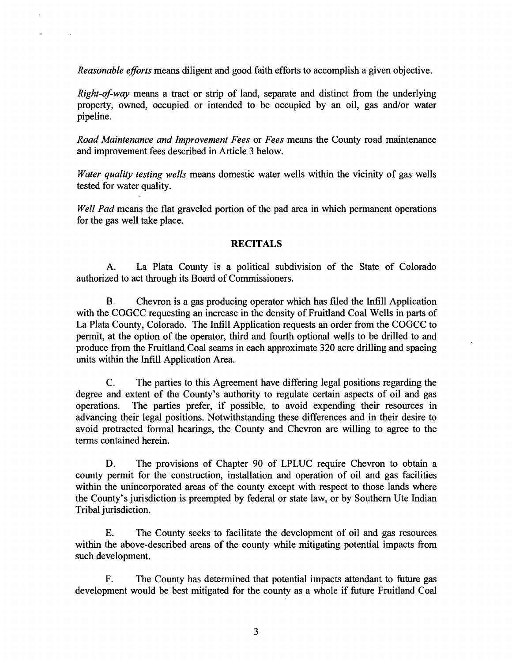*Reasonable efforts* means diligent and good faith efforts to accomplish a given objective.

*Right-of-way* means a tract or strip of land, separate and distinct from the underlying property, owned, occupied or intended to be occupied by an oil, gas and/or water pipeline.

*Road Maintenance and Improvement Fees* or *Fees* means the County road maintenance and improvement fees described in Article 3 below.

*Water quality testing wells* means domestic water wells within the vicinity of gas wells tested for water quality.

*Well Pad* means the flat graveled portion of the pad area in which permanent operations for the gas well take place.

### **RECITALS**

A. La Plata County is a political subdivision of the State of Colorado authorized to act through its Board of Commissioners.

B. Chevron is a gas producing operator which has filed the Intill Application with the COGCC requesting an increase in the density of Fruitland Coal Wells in parts of La Plata County, Colorado. The Intill Application requests an order from the COGCC to permit, at the option of the operator, third and fourth optional wells to be drilled to and produce from the Fruitland Coal seams in each approximate 320 acre drilling and spacing units within the Intill Application Area.

C. The parties to this Agreement have differing legal positions regarding the degree and extent of the County's authority to regulate certain aspects of oil and gas operations. The parties prefer, if possible, to avoid expending their resources in advancing their legal positions. Notwithstanding these differences and in their desire to avoid protracted formal hearings, the County and Chevron are willing to agree to the terms contained herein.

D. The provisions of Chapter 90 of LPLUC require Chevron to obtain a county permit for the construction, installation and operation of oil and gas facilities within the unincorporated areas of the county except with respect to those lands where the County's jurisdiction is preempted by federal or state law, or by Southern Ute Indian Tribal jurisdiction.

E. The County seeks to facilitate the development of oil and gas resources within the above-described areas of the county while mitigating potential impacts from such development.

F. The County has determined that potential impacts attendant to future gas development would be best mitigated for the county as a whole if future Fruitland Coal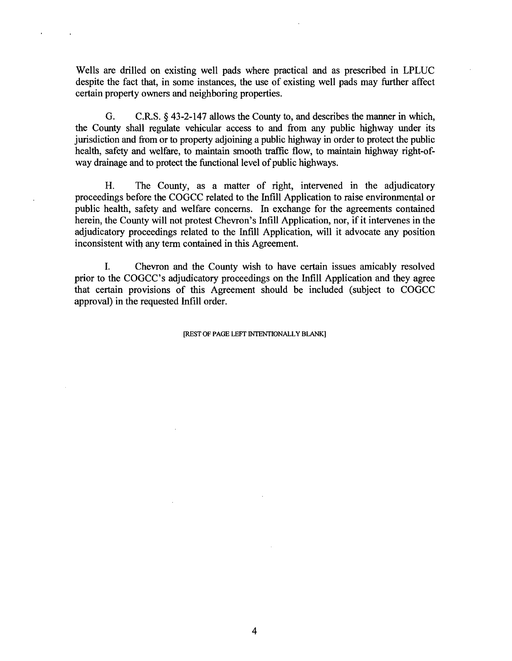Wells are drilled on existing well pads where practical and as prescribed in LPLUC despite the fact that, in some instances, the use of existing well pads may further affect certain property owners and neighboring properties.

G. C.R.S. § 43-2-147 allows the County to, and describes the manner in which, the County shall regulate vehicular access to and from any public highway under its jurisdiction and from or to property adjoining a public highway in order to protect the public health, safety and welfare, to maintain smooth traffic flow, to maintain highway right-ofway drainage and to protect the functional level of public highways.

H. The County, as a matter of right, intervened in the adjudicatory proceedings before the COGCC related to the Intill Application to raise environmental or public health, safety and welfare concerns. In exchange for the agreements contained herein, the County will not protest Chevron's Infill Application, nor, if it intervenes in the adjudicatory proceedings related to the Intill Application, will it advocate any position inconsistent with any term contained in this Agreement.

I. Chevron and the County wish to have certain issues amicably resolved prior to the COGCC's adjudicatory proceedings on the Intill Application and they agree that certain provisions of this Agreement should be included (subject to COGCC approval) in the requested Intill order.

[REST OF PAGE LEFT INTENTIONALLY BLANK]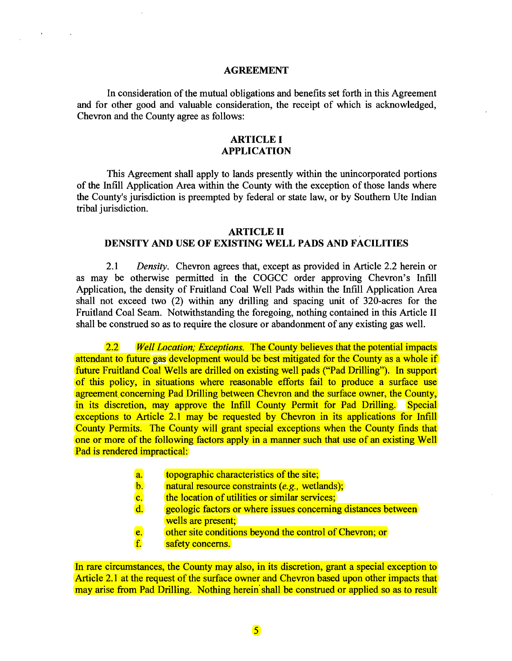### AGREEMENT

 $\mathcal{A} \subset \mathcal{A}$ 

In consideration of the mutual obligations and benefits set forth in this Agreement and for other good and valuable consideration, the receipt of which is acknowledged, Chevron and the County agree as follows:

# ARTICLE I APPLICATION

This Agreement shall apply to lands presently within the unincorporated portions of the Infill Application Area within the County with the exception of those lands where the County's jurisdiction is preempted by federal or state law, or by Southern Ute Indian tribal jurisdiction.

#### **ARTICLE II**

### DENSITY AND USE OF EXISTING WELL PADS AND FACILITIES

*2.1 Density.* Chevron agrees that, except as provided in Article 2.2 herein or as may be otherwise permitted in the COGCC order approving Chevron's Infill Application, the density of Fruitland Coal Well Pads within the Intill Application Area shall not exceed two (2) within any drilling and spacing unit of 320-acres for the Fruitland Coal Seam. Notwithstanding the foregoing, nothing contained in this Article II shall be construed so as to require the closure or abandonment of any existing gas well.

*2.2 Well Location; Exceptions.* The County believes that the potential impacts attendant to future gas development would be best mitigated for the County as a whole if future Fruitland Coal Wells are drilled on existing well pads ("Pad Drilling"). In support of this policy, in situations where reasonable efforts fail to produce a surface use agreement concerning Pad Drilling between Chevron and the surface owner, the County, in its discretion, may approve the Infill County Permit for Pad Drilling. Special exceptions to Article 2.1 may be requested by Chevron in its applications for Infill County Permits. The County will grant special exceptions when the County finds that one or more of the following factors apply in a manner such that use of an existing Well Pad is rendered impractical:

- a. topographic characteristics of the site;
- b. natural resource constraints *(e.g.,* wetlands);
- c. the location of utilities or similar services;
- d. geologic factors or where issues concerning distances between wells are present:
- e. other site conditions beyond the control of Chevron; or
- f. safety concerns.

In rare circumstances, the County may also, in its discretion, grant a special exception to Article 2.1 at the request of the surface owner and Chevron based upon other impacts that may arise from Pad Drilling. Nothing herein shall be construed or applied so as to result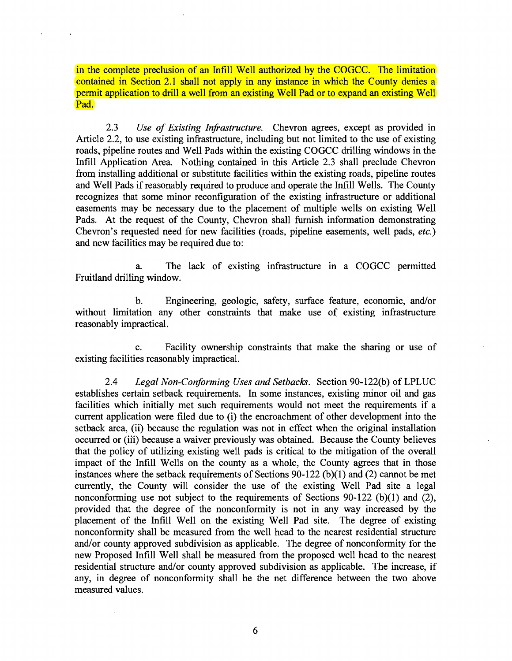in the complete preclusion of an Infill Well authorized by the COGCC. The limitation contained in Section 2.1 shall not apply in any instance in which the County denies a permit application to drill a well from an existing Well Pad or to expand an existing Well Pad.

*2.3 Use of Existing Infrastructure.* Chevron agrees, except as provided in Article 2.2, to use existing infrastructure, including but not limited to the use of existing roads, pipeline routes and Well Pads within the existing COGCC drilling windows in the Intill Application Area. Nothing contained in this Article 2.3 shall preclude Chevron from installing additional or substitute facilities within the existing roads, pipeline routes and Well Pads if reasonably required to produce and operate the Infill Wells. The County recognizes that some minor recontiguration of the existing infrastructure or additional easements may be necessary due to the placement of multiple wells on existing Well Pads. At the request of the County, Chevron shall furnish information demonstrating Chevron's requested need for new facilities (roads, pipeline easements, well pads, *etc.)* and new facilities may be required due to:

a. The lack of existing infrastructure in a COGCC permitted Fruitland drilling window.

b. Engineering, geologic, safety, surface feature, economic, and/or without limitation any other constraints that make use of existing infrastructure reasonably impractical.

c. Facility ownership constraints that make the sharing or use of existing facilities reasonably impractical.

*2.4 Legal Non-Conforming Uses and Setbacks.* Section 90-122(b) of LPLUC establishes certain setback requirements. In some instances, existing minor oil and gas facilities which initially met such requirements would not meet the requirements if a current application were filed due to (i) the encroachment of other development into the setback area, (ii) because the regulation was not in effect when the original installation occurred or (iii) because a waiver previously was obtained. Because the County believes that the policy of utilizing existing well pads is critical to the mitigation of the overall impact of the Intill Wells on the county as a whole, the County agrees that in those instances where the setback requirements of Sections 90-122 (b)(l) and (2) cannot be met currently, the County will consider the use of the existing Well Pad site a legal nonconforming use not subject to the requirements of Sections 90-122 (b)(I) and (2), provided that the degree of the nonconformity is not in any way increased by the placement of the Intill Well on the existing Well Pad site. The degree of existing nonconformity shall be measured from the well head to the nearest residential structure and/or county approved subdivision as applicable. The degree of nonconformity for the new Proposed Intill Well shall be measured from the proposed well head to the nearest residential structure and/or county approved subdivision as applicable. The increase, if any, in degree of nonconformity shall be the net difference between the two above measured values.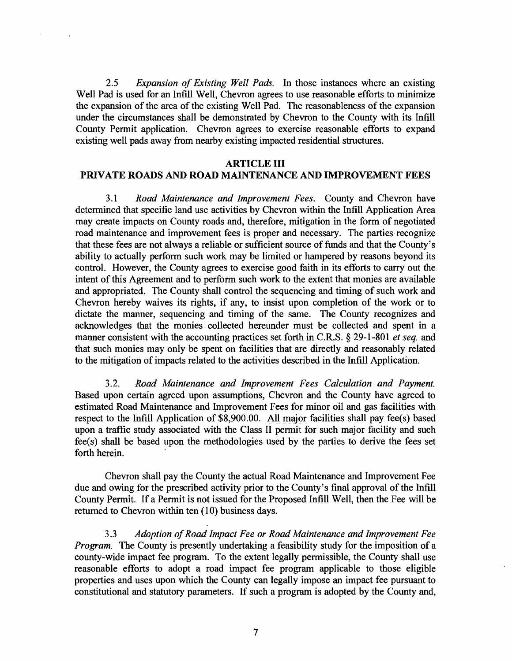*2.5 Expansion of Existing Well Pads.* In those instances where an existing Well Pad is used for an Infill Well, Chevron agrees to use reasonable efforts to minimize the expansion of the area of the existing Well Pad. The reasonableness of the expansion under the circumstances shall be demonstrated by Chevron to the County with its Intill County Permit application. Chevron agrees to exercise reasonable efforts to expand existing well pads away from nearby existing impacted residential structures.

 $\ddot{\phantom{a}}$ 

### ARTICLE III

### PRIVATE ROADS AND ROAD MAINTENANCE AND IMPROVEMENT FEES

*3.1 Road Maintenance and Improvement Fees.* County and Chevron have determined that specific land use activities by Chevron within the Infill Application Area may create impacts on County roads and, therefore, mitigation in the form of negotiated road maintenance and improvement fees is proper and necessary. The parties recognize that these fees are not always a reliable or sufficient source of funds and that the County's ability to actually perform such work may be limited or hampered by reasons beyond its control. However, the County agrees to exercise good faith in its efforts to carry out the intent of this Agreement and to perform such work to the extent that monies are available and appropriated. The County shall control the sequencing and timing of such work and Chevron hereby waives its rights, if any, to insist upon completion of the work or to dictate the manner, sequencing and timing of the same. The County recognizes and acknowledges that the monies collected hereunder must be collected and spent in a manner consistent with the accounting practices set forth in C.R.S. § 29-1-801 *et seq.* and that such monies may only be spent on facilities that are directly and reasonably related to the mitigation of impacts related to the activities described in the Infill Application.

*3.2. Road Maintenance and Improvement Fees Calculation and Payment.* Based upon certain agreed upon assumptions, Chevron and the County have agreed to estimated Road Maintenance and Improvement Fees for minor oil and gas facilities with respect to the Infill Application of  $$8,900.00$ . All major facilities shall pay fee(s) based upon a traffic study associated with the Class II permit for such major facility and such fee(s) shall be based upon the methodologies used by the parties to derive the fees set forth herein.

Chevron shall pay the County the actual Road Maintenance and Improvement Fee due and owing for the prescribed activity prior to the County's final approval of the Infill County Permit. If a Permit is not issued for the Proposed Infill Well, then the Fee will be returned to Chevron within ten (10) business days.

*3.3 Adoption ofRoad Impact Fee or Road Maintenance and Improvement Fee Program.* The County is presently undertaking a feasibility study for the imposition of a county-wide impact fee program. To the extent legally permissible, the County shall use reasonable efforts to adopt a road impact fee program applicable to those eligible properties and uses upon which the County can legally impose an impact fee pursuant to constitutional and statutory parameters. If such a program is adopted by the County and,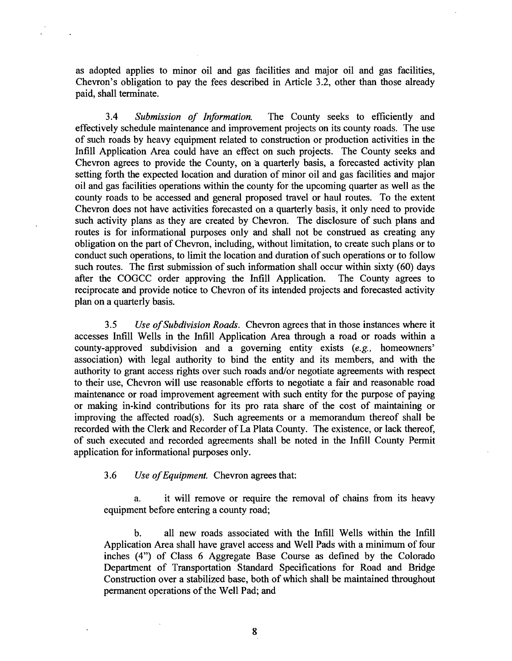as adopted applies to minor oil and gas facilities and major oil and gas facilities, Chevron's obligation to pay the fees described in Article 3.2, other than those already paid, shall terminate.

*3.4 Submission of Information.* The County seeks to efficiently and effectively schedule maintenance and improvement projects on its county roads. The use of such roads by heavy equipment related to construction or production activities in the Infill Application Area could have an effect on such projects. The County seeks and Chevron agrees to provide the County, on a quarterly basis, a forecasted activity plan setting forth the expected location and duration of minor oil and gas facilities and major oil and gas facilities operations within the county for the upcoming quarter as well as the county roads to be accessed and general proposed travel or haul routes. To the extent Chevron does not have activities forecasted on a quarterly basis, it only need to provide such activity plans as they are created by Chevron. The disclosure of such plans and routes is for informational purposes only and shall not be construed as creating any obligation on the part of Chevron, including, without limitation, to create such plans or to conduct such operations, to limit the location and duration of such operations or to follow such routes. The first submission of such information shall occur within sixty (60) days after the COGCC order approving the Infill Application. The County agrees to after the COGCC order approving the Infill Application. reciprocate and provide notice to Chevron of its intended projects and forecasted activity plan on a quarterly basis.

*3.5 Use ofSubdivision Roads.* Chevron agrees that in those instances where it accesses Intill Wells in the Infill Application Area through a road or roads within a county-approved subdivision and a governing entity exists *(e.g.,* homeowners' association) with legal authority to bind the entity and its members, and with the authority to grant access rights over such roads and/or negotiate agreements with respect to their use, Chevron will use reasonable efforts to negotiate a fair and reasonable road maintenance or road improvement agreement with such entity for the purpose of paying or making in-kind contributions for its pro rata share of the cost of maintaining or improving the affected road(s). Such agreements or a memorandum thereof shall be recorded with the Clerk and Recorder of La Plata County. The existence, or lack thereof, of such executed and recorded agreements shall' be noted in the Infill County Permit application for informational purposes only.

*3.6 Use ofEquipment.* Chevron agrees that:

a. it will remove or require the removal of chains from its heavy equipment before entering a county road;

b. all new roads associated with the Infill Wells within the Intill Application Area shall have gravel access and Well Pads with a minimum of four inches (4") of Class 6 Aggregate Base Course as defined by the Colorado Department of Transportation Standard Specifications for Road and Bridge Construction over a stabilized base, both of which shall be maintained throughout permanent operations of the Well Pad; and

8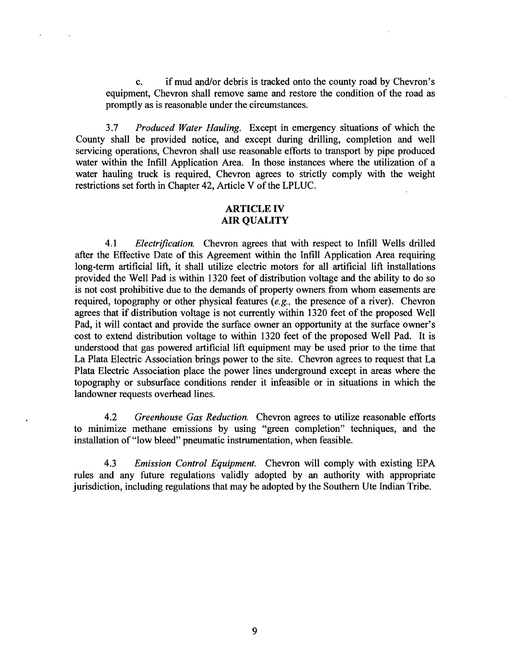c. if mud and/or debris is tracked onto the county road by 'Chevron's equipment, Chevron shall remove same and restore the condition of the road as promptly as is reasonable under the circumstances.

*3.7 Produced Water Hauling.* Except in emergency situations of which the County shall be provided notice, and except during drilling, completion and well servicing operations, Chevron shall use reasonable efforts to transport by pipe produced water within the Infill Application Area. In those instances where the utilization of a water hauling truck is required. Chevron agrees to strictly comply with the weight restrictions set forth in Chapter 42, Article V of the LPLUC.

## ARTICLE IV AIR QUALITY

4.1 *Electrification.* Chevron agrees that with respect to Infill Wells drilled after the Effective Date of this Agreement within the Infill Application Area requiring long-term artificial lift, it shall utilize electric motors for all artificial lift installations provided the Well Pad is within 1320 feet of distribution voltage and the ability to do so is not cost prohibitive due to the demands of property owners from whom easements are required, topography or other physical features *(e.g.,* the presence of a river). Chevron agrees that if distribution voltage is not currently within 1320 feet of the proposed Well Pad, it will contact and provide the surface owner an opportunity at the surface owner's cost to extend distribution voltage to within 1320 feet of the proposed Well Pad. It is understood that gas powered artificial lift equipment may be used prior to the time that La Plata Electric Association brings power to the site. Chevron agrees to request that La Plata Electric Association place the power lines underground except in areas where the topography or subsurface conditions render it infeasible or in situations in which the landowner requests overhead lines.

*4.2 Greenhouse Gas Reduction.* Chevron agrees to utilize reasonable efforts to minimize methane emissions by using "green completion" techniques, and the installation of "low bleed" pneumatic instrumentation, when feasible.

*4.3 Emission Control Equipment.* Chevron will comply with existing EPA rules and any future regulations validly adopted by an authority with appropriate jurisdiction, including regulations that may be adopted by the Southern Ute Indian Tribe.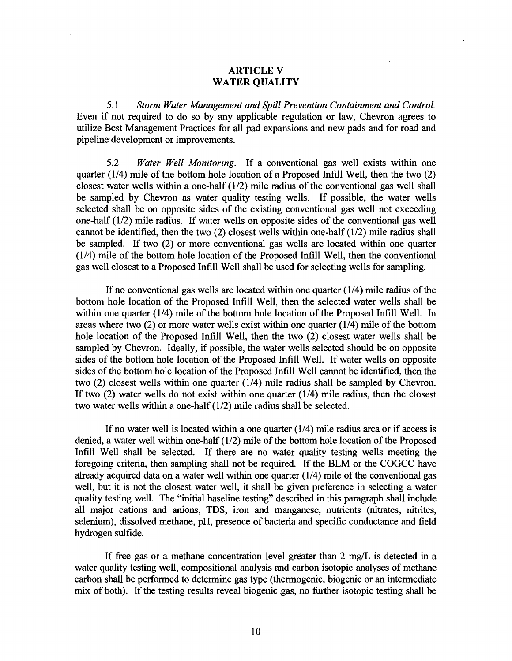## ARTICLE V WATER QUALITY

 $\mathcal{A}$ 

*5.1 Storm Water Management and Spill Prevention Containment and Control.* Even if not required to do so by any applicable regulation or law, Chevron agrees to utilize Best Management Practices for all pad expansions and new pads and for road and pipeline development or improvements.

*5.2 Water Well Monitoring.* If a conventional gas well exists within one quarter (1/4) mile of the bottom hole location of a Proposed Infill Well, then the two (2) closest water wells within a one-half (1/2) mile radius of the conventional gas well shall be sampled by Chevron as water quality testing wells. If possible, the water wells selected shall be on opposite sides of the existing conventional gas well not exceeding one-half (1/2) mile radius. If water wells on opposite sides of the conventional gas well cannot be identified, then the two (2) closest wells within one-half (1/2) mile radius shall be sampled. If two (2) or more conventional gas wells are located within one quarter (1/4) mile of the bottom hole location of the Proposed Infill Well, then the conventional gas well closest to a Proposed Infill Well shall be used for selecting wells for sampling.

If no conventional gas wells are located within one quarter  $(1/4)$  mile radius of the bottom hole location of the Proposed Intill Well, then the selected water wells shall be within one quarter (1/4) mile of the bottom hole location of the Proposed Infill Well. In areas where two  $(2)$  or more water wells exist within one quarter  $(1/4)$  mile of the bottom hole location of the Proposed Infill Well, then the two (2) closest water wells shall be sampled by Chevron. Ideally, if possible, the water wells selected should be on opposite sides of the bottom hole location of the Proposed Infill Well. If water wells on opposite sides of the bottom hole location of the Proposed Infill Well cannot be identified, then the two (2) closest wells within one quarter (1/4) mile radius shall be sampled by Chevron. If two  $(2)$  water wells do not exist within one quarter  $(1/4)$  mile radius, then the closest two water wells within a one-half (1/2) mile radius shall be selected.

If no water well is located within a one quarter (1/4) mile radius area or if access is denied, a water well within one-half  $(1/2)$  mile of the bottom hole location of the Proposed Intill Well shall be selected. If there are no water quality testing wells meeting the foregoing criteria, then sampling shall not be required. If the BLM or the COGCC have already acquired data on a water well within one quarter  $(1/4)$  mile of the conventional gas well, but it is not the closest water well, it shall be given preference in selecting a water quality testing well. The "initial baseline testing" described in this paragraph shall include all major cations and anions, TDS, iron and manganese, nutrients (nitrates, nitrites, selenium), dissolved methane, pH, presence of bacteria and specific conductance and field hydrogen sulfide.

If free gas or a methane concentration level greater than  $2 \text{ mg/L}$  is detected in a water quality testing well, compositional analysis and carbon isotopic analyses of methane carbon shall be perfonned to detennine gas type (thermogenic, biogenic or an intermediate mix of both). If the testing results reveal biogenic gas, no further isotopic testing shall be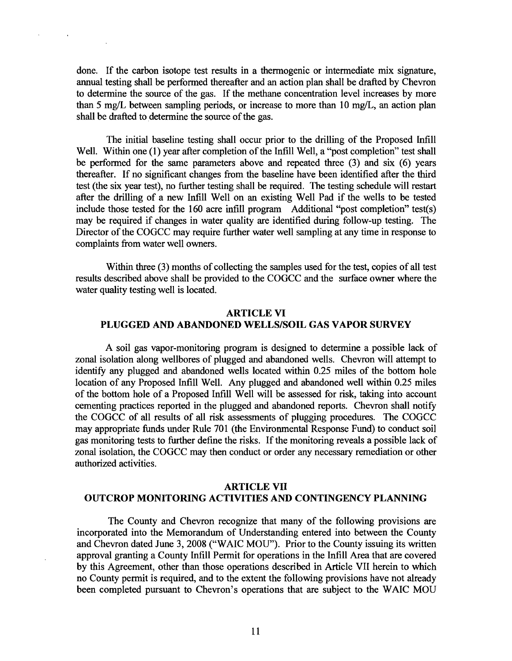done. If the carbon isotope test results in a thermogenic or intermediate mix signature, annual testing shall be performed thereafter and an action plan shall be drafted by Chevron to determine the source of the gas. If the methane concentration level. increases by more than 5 mg/L between sampling periods, or increase to more than 10 mg/L, an action plan shall be drafted to determine the source of the gas.

The initial baseline testing shall occur prior to the drilling of the Proposed Infill Well. Within one (1) year after completion of the Infill Well, a "post completion" test shall be performed for the same parameters above and repeated three (3) and six (6) years thereafter. If no significant changes from the baseline have been identified after the third test (the six year test), no further testing shall be required. The testing schedule will restart after the drilling of a new Intill Well on an existing Well Pad if the wells to be tested include those tested for the  $160$  acre infill program Additional "post completion" test(s) may be required if changes in water quality are identified during follow-up testing. The Director of the COGCC may require further water well sampling at any time in response to complaints from water well owners.

Within three (3) months of collecting the samples used for the test, copies of all test results described above shall be provided to the COGCC and the surface owner where the water quality testing well is located.

# ARTICLE VI PLUGGED AND ABANDONED WELLS/SOIL GAS VAPOR SURVEY

A soil gas vapor-monitoring program is designed to determine a possible lack of zonal isolation along wellbores of plugged and abandoned wells. Chevron will attempt to identify any plugged and abandoned wells located within 0.25 miles of the bottom hole location of any Proposed Infill Well. Any plugged and abandoned well within 0.25 miles of the bottom hole of a Proposed Intill Well will be assessed for risk, taking into account cementing practices reported in the plugged and abandoned reports. Chevron shall notify the COGCC of all results of all risk assessments of plugging procedures. The COGCC may appropriate funds under Rule 701 (the Environmental Response Fund) to conduct soil gas monitoring tests to further define the risks. If the monitoring reveals a possible lack of zonal isolation, the COGCC may then conduct or order any necessary remediation or other authorized activities.

## ARTICLE VII OUTCROP MONITORING ACTIVITIES AND CONTINGENCY PLANNING

The County and Chevron recognize that many of the following provisions are incorporated into the Memorandum of Understanding entered into between the County and Chevron dated June 3, 2008 ("WAIC MOU"). Prior to the County issuing its written approval granting a County Infill Permit for operations in the Infill Area that are covered by this Agreement, other than those operations described in Article VII herein to which no County permit is required, and to the extent the following provisions have not already been completed pursuant to Chevron's operations that are subject to the WAIC MOU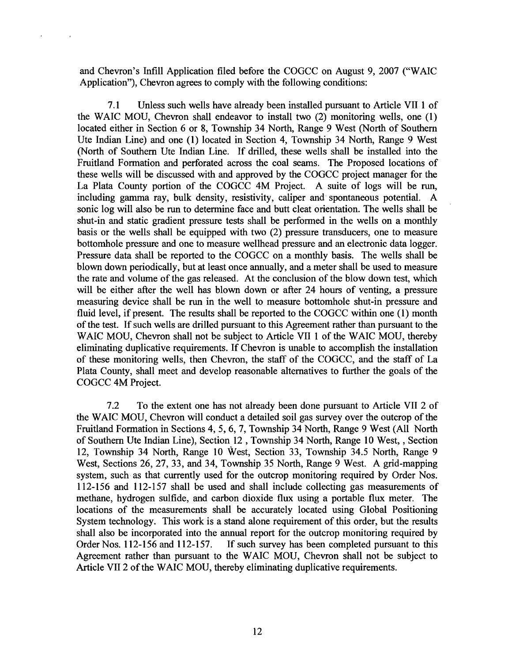and Chevron's Infill Application filed before the COGCC on August 9, 2007 ("WAIC Application"), Chevron agrees to comply with the following conditions:

7.1 Unless such wells have already been installed pursuant to Article VII 1 of the WAIC MOU, Chevron shall endeavor to install two (2) monitoring wells, one (1) located either in Section 6 or 8, Township 34 North, Range 9 West (North of Southern Ute Indian Line) and one (1) located in Section 4, Township 34 North, Range 9 West (North of Southern Ute Indian Line. If drilled, these wells shall be installed into the Fruitland Formation and perforated across the coal seams. The Proposed locations of these wells will be discussed with and approved by the COGCC project manager for the La Plata County portion of the COGCC 4M Project. A suite of logs will be run, including gamma ray, bulk density, resistivity, caliper and" spontaneous potential. A sonic log will also be run to determine face and butt cleat orientation. The wells shall be shut-in and static gradient pressure tests shall be performed in the wells on a monthly basis or the wells shall be equipped with two  $(2)$  pressure transducers, one to measure bottomhole pressure and one to measure wellhead pressure and an electronic data logger. Pressure data shall be reported to the COGCC on a monthly basis. The wells shall be blown down periodically, but at least once annually, and a meter shall be used to measure the rate and volume of the gas released. At the conclusion of the blow down test, which will be either after the well has blown down or after 24 hours of venting, a pressure measuring device shall be run in the well to measure bottomhole shut-in pressure and fluid level, if present. The results shall be reported to the COGCC within one (1) month of the test. If such wells are drilled pursuant to this Agreement rather than pursuant to the WAIC MOU, Chevron shall not be subject to Article VII 1 of the WAIC MOU, thereby eliminating duplicative requirements. If Chevron is unable to accomplish the installation of these monitoring wells, then Chevron, the staff of the COGCC, and the staff of La Plata County, shall meet and develop reasonable alternatives to further the goals of the COGCC 4M Project.

7.2 To the extent one has not already been done pursuant to Article VII 2 of the WAIC MOU, Chevron will conduct a detailed soil gas survey over the outcrop of the Fruitland Formation in Sections 4,5, 6, 7, Township 34 North, Range 9 West (All North of Southern Ute Indian Line), Section 12 , Township 34 North, Range 10 West, , Section 12, Township 34 North, Range 10 West, Section 33, Township 34.5 North, Range 9 West, Sections 26, 27, 33, and 34, Township 35 North, Range 9 West. A grid-mapping system, such as that currently used for the outcrop monitoring required by Order Nos. 112-156 and 112-157 shall be used and shall include collecting gas measurements of methane, hydrogen sulfide, and carbon dioxide flux using a portable flux meter. The locations of the measurements shall be accurately located using Global Positioning System technology. This work is a stand alone requirement of this order, but the results shall also be incorporated into the annual report for the outcrop monitoring required by Order Nos. 112-156 and 112-157. If such survey has been completed pursuant to this Agreement rather than pursuant to the WAIC MOU, Chevron shall not be subject to Article VII 2 of the WAIC MOU, thereby eliminating duplicative requirements.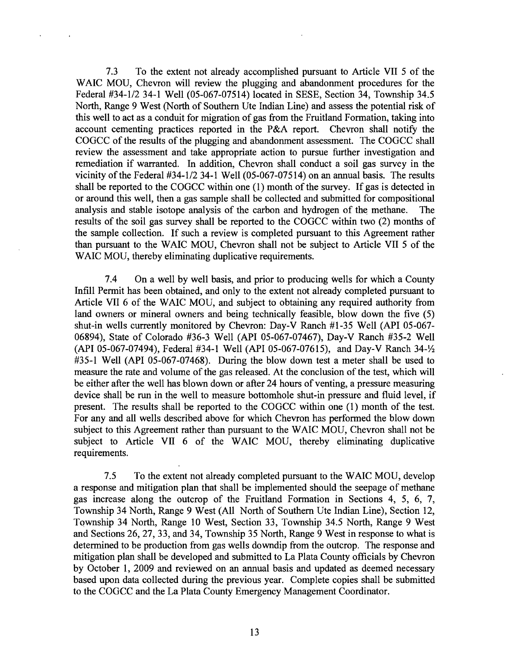7.3 To the extent not already accomplished pursuant to Article VII 5 of the WAIC MOU, Chevron will review the plugging and abandonment procedures for the Federal #34-1/2 34-1 Well (05-067-07514) located in SESE, Section 34, Township 34.5 North, Range 9 West (North of Southern Ute Indian Line) and assess the potential risk of this well to act as a conduit for migration of gas from the Fruitland Formation, taking into account cementing practices reported in the P&A report. Chevron shall notify the COGCC of the results of the plugging and abandonment assessment. The COGCC shall review the assessment and take appropriate action to pursue further investigation and remediation if warranted. In addition, Chevron shall conduct a soil gas survey in the vicinity of the Federal  $#34-1/2$  34-1 Well (05-067-07514) on an annual basis. The results shall be reported to the COGCC within one  $(1)$  month of the survey. If gas is detected in or around this well, then a gas sample shall be collected and submitted for compositional analysis and stable isotope analysis of the carbon and hydrogen of the methane. The results of the soil gas survey shall be reported to the COGCC within two (2) months of the sample collection. If such a review is completed pursuant to this Agreement rather than pursuant to the WAIC MOU, Chevron shall not be subject to Article VII 5 of the WAIC MOU, thereby eliminating duplicative requirements.

7.4 On a well by well basis, and prior to producing wells for which a County Infill Permit has been obtained, and only to the extent not already completed pursuant to Article VII 6 of the WAIC MOU, and subject to obtaining any required authority from land owners or mineral owners and being technically feasible, blow down the five (5) shut-in wells currently monitored by Chevron: Day-V Ranch #1-35 Well (API 05-067-06894), State of Colorado #36-3 Well (API 05-067-07467), Day-V Ranch #35-2 Well (API 05-067-07494), Federal #34-1 Well (API 05-067-07615), and Day-V Ranch 34- $\frac{1}{2}$ #35-1 Well (API 05-067-07468). During the blow down test a meter shall be used to measure the rate and volume of the gas released. At the conclusion of the test, which will be either after the well has blown down or after 24 hours of venting, a pressure measuring device shall be run in the well to measure bottomhole shut-in pressure and fluid level, if present. The results shall be reported to the COGCC within one (1) month of the test. For any and all wells described above for which Chevron has performed the blow down subject to this Agreement rather than pursuant to the WAIC MOU, Chevron shall not be subject to Article VII 6 of the WAIC MOU, thereby eliminating duplicative requirements.

7.5 To the extent not already completed pursuant to the WAIC MOU, develop a response and mitigation plan that shall be implemented should the seepage of methane gas increase along the outcrop of the Fruitland Formation in Sections 4, 5, 6, 7, Township 34 North, Range 9 West (All North of Southern Ute Indian Line), Section 12, Township 34 North, Range 10 West, Section 33, Township 34.5 North, Range 9 West and Sections 26, 27, 33, and 34, Township 35 North, Range 9 West in response to what is determined to be production from gas wells downdip from the outcrop. The response and mitigation plan shall be developed and submitted to La Plata County officials by Chevron by October I, 2009 and reviewed on an annual basis and updated as deemed necessary based upon data collected during the previous year. Complete copies shall be submitted to the COGCC and the La Plata County Emergency Management Coordinator.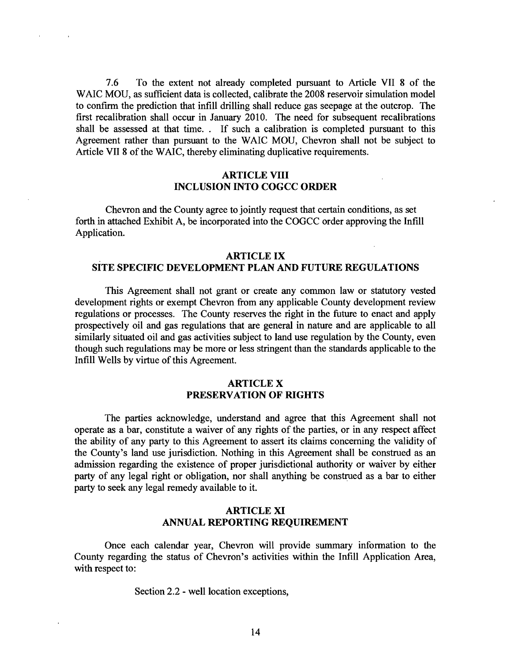7.6 To the extent not already completed pursuant to Article VII 8 of the WAIC MOU, as sufficient data is collected, calibrate the 2008 reservoir simulation model to confirm the prediction that intill drilling shall reduce gas seepage at the outcrop. The first recalibration shall occur in January 2010. The need for subsequent recalibrations shall be assessed at that time.. If such a calibration is. completed pursuant to this Agreement rather than pursuant to the WAIC MOD, Chevron shall not be subject to Article VII 8 of the WAIC, thereby eliminating duplicative requirements.

# ARTICLE VIII INCLUSION INTO COGCC ORDER

Chevron and the County agree to jointly request that certain conditions, as set forth in attached Exhibit A, be incorporated into the COGCC order approving the Infill Application.

#### ARTICLE IX

### SITE SPECIFIC DEVELOPMENT PLAN AND FUTURE REGULATIONS

This Agreement shall not grant or create any common law or statutory vested development rights or exempt Chevron from any applicable County development review regulations or processes. The County reserves the right in the future to enact and apply prospectively oil and gas regulations that are general in nature and are applicable to all similarly situated oil and gas activities subject to land use regulation by the County, even though such regulations may be more or less stringent than the standards applicable to the Infill Wells by virtue of this Agreement.

# ARTICLE X PRESERVATION OF RIGHTS

The parties acknowledge, understand and agree that this Agreement shall not operate as a bar, constitute a waiver of,any rights of the parties, or in any respect affect the ability of any party to this Agreement to assert its claims concerning the validity of the County's land use jurisdiction. Nothing in this Agreement shall be construed as an admission regarding the existence of proper jurisdictional authority or waiver by either party of any legal right or obligation, nor shall anything be construed as a bar to either party to seek any legal remedy available to it.

# ARTICLE XI ANNUAL REPORTING REQUIREMENT

Once each calendar year, Chevron will provide summary information to the County regarding the status of Chevron's activities within the Infill Application Area, with respect to:

Section 2.2 - well location exceptions,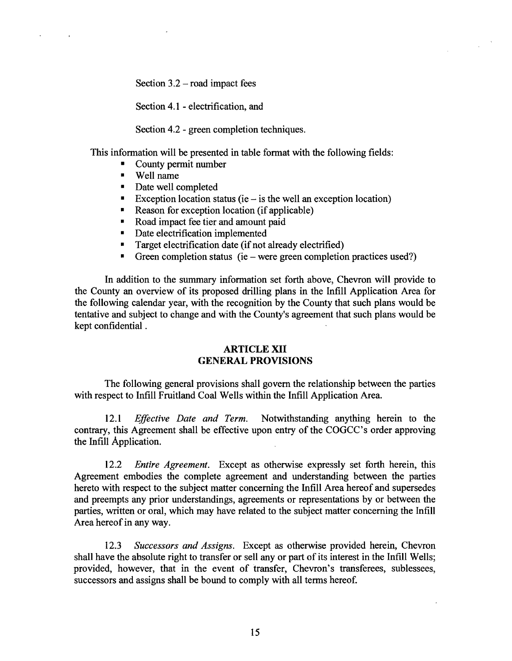Section  $3.2$  – road impact fees

Section 4.1 - electrification, and

Section 4.2 - green completion techniques.

This information will be presented in table format with the following fields:

- County permit number
- Well name

 $\mathbf{r}$ 

- Date well completed
- Exception location status (ie  $-$  is the well an exception location)
- Reason for exception location (if applicable)
- Road impact fee tier and amount paid
- Date electrification implemented
- Target electrification date (if not already electrified)
- Green completion status (ie were green completion practices used?)

In addition to the summary information set forth above, Chevron will provide to the County an overview of its proposed drilling plans in the Infill Application Area for the following calendar year, with the recognition by the County that such plans would be tentative and subject to change and with the County's agreement that such plans would be kept confidential .

### ARTICLE XII GENERAL PROVISIONS

The following general provisions shall govern the relationship between the parties with respect to Infill Fruitland Coal Wells within the Infill Application Area.

*12.1 Effective Date and Term.* Notwithstanding anything herein to the contrary, this Agreement shall be effective upon entry of the COGCC's order approving the Infill Application.

*12.2 Entire Agreement.* Except as otherwise expressly set forth herein, this Agreement embodies the complete agreement and understanding between the parties hereto with respect to the subject matter concerning the Infill Area hereof and supersedes and preempts any prior understandings, agreements or representations by or between the parties, written or oral, which may have related to the subject matter concerning the Intill Area hereof in any way.

*12.3 Successors and Assigns.* Except as otherwise provided herein, Chevron shall have the absolute right to transfer or sell any or part of its interest in the Infill Wells; provided, however, that in the event of transfer, Chevron's transferees, sublessees, successors and assigns shall be bound to comply with all terms hereof.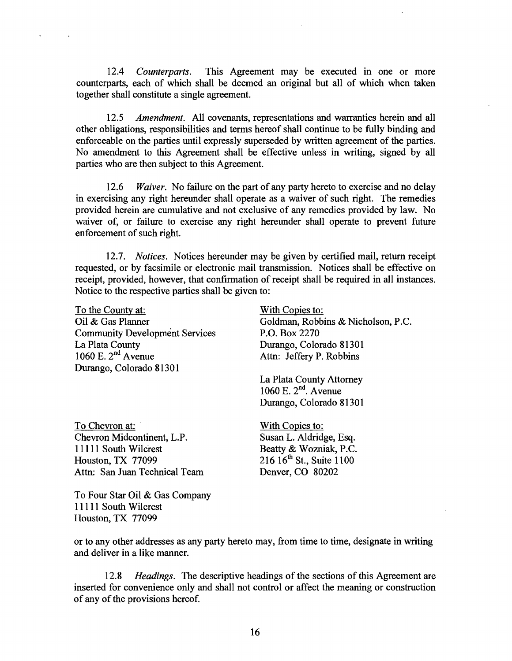*12.4 Counterparts.* This Agreement may be executed in one or more counterparts, each of which shall be deemed an original but all of which when taken together shall constitute a single agreement.

*12.5 Amendment.* All covenants, representations and warranties herein and all other obligations, responsibilities and terms hereof shall continue to be fully binding and enforceable on the parties until expressly superseded by written agreement of the parties,. No amendment to this Agreement shall be effective unless' in writing, signed by all parties who are then subject to this Agreement.

*12.6 <i>Waiver.* No failure on the part of any party hereto to exercise and no delay in exercising any right hereunder shall operate as a waiver of such right. The remedies provided herein are cumulative and not exclusive of any remedies provided by law. No waiver of, or failure to exercise any right hereunder shall operate to prevent future enforcement of such right.

*12.7. Notices.* Notices hereunder may be given by certified mail, return receipt requested, or by facsimile or electronic mail transmission. Notices shall be effective on receipt, provided, however, that confirmation of receipt shall be required in all instances. Notice to the respective parties shall be given to:

To the County at: Oil & Gas Planner Community Development Services La Plata County 1060 E.  $2^{nd}$  Avenue Durango, Colorado 81301

To Chevron at: Chevron Midcontinent, L.P. 11111 South Wilcrest Houston, TX 77099 Attn: San Juan Technical Team With Copies to: Goldman, Robbins & Nicholson, P.C. P.O. Box 2270 Durango, Colorado 81301 Attn: Jeffery P. Robbins

La Plata County Attorney 1060 E.  $2<sup>nd</sup>$ . Avenue Durango, Colorado 81301

With Copies to: Susan L. Aldridge, Esq. Beatty & Wozniak, P.C.  $216 \, 16^{th}$  St., Suite  $1100$ Denver, CO 80202

To Four Star Oil & Gas Company 11111 South Wilcrest Houston, TX 77099

or to any other addresses as any party hereto may, from time to time, designate in writing and deliver in a like manner.

12.8 *Headings*. The descriptive headings of the sections of this Agreement are inserted for convenience only and shall not control or affect the meaning or construction of any of the provisions hereof.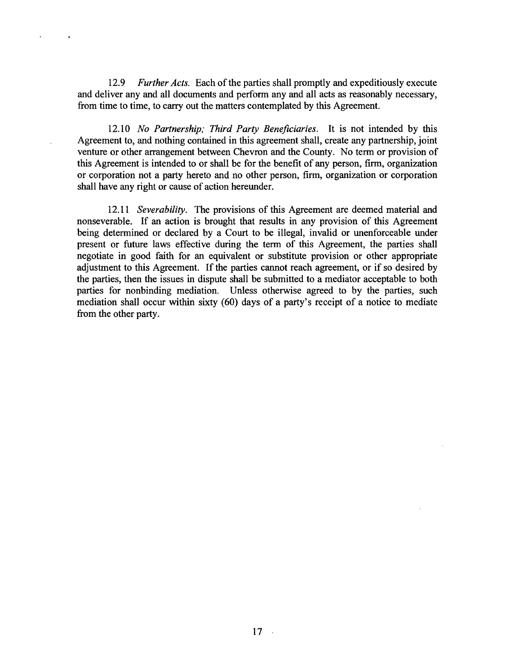12.9 *Further Acts.* Each of the parties shall promptly and expeditiously execute and deliver any and all documents and perform any and all acts as reasonably necessary, from time to time, to carry out the matters contemplated by this Agreement.

*12.10 No Partnership; Third Party Beneficiaries.* It is not intended by this Agreement to, and nothing contained in this agreement shall, create any partnership, joint venture or other arrangement between Chevron and the County. No term or provision of this Agreement is intended to or shall be for the benefit of any person, firm, organization or corporation not a party hereto and no other person, firm, organization or corporation shall have any right or cause of action hereunder.

*12.11 Severability.* The provisions of this Agreement are deemed material and nonseverable. If an action is brought that results in any provision of this Agreement being determined or declared by a Court to be illegal, invalid or unenforceable under present or future laws effective during the term of this Agreement, the parties shall negotiate in good faith for an equivalent or substitute provision or other appropriate adjustment to this Agreement. If the parties cannot reach agreement, or if so desired by the parties, then the issues in dispute shall be submitted to a mediator acceptable to both parties for nonbinding mediation. Unless otherwise agreed to by the parties, such mediation shall occur within sixty (60) days of a party's receipt of a notice to mediate from the other party.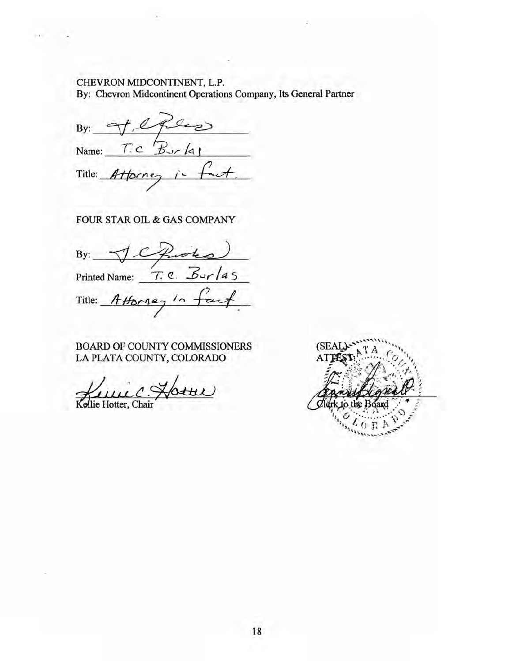# CHEVRON MIDCONTINENT, L.P. By: Chevron Midcontinent Operations Company, Its General Partner

 $By:$  of exercises Name: T.C B<sub>Jr</sub>/4 Title: Attorney

FOUR STAR OIL & GAS COMPANY

By: Printed Name:  $T \cdot e \cdot B \cup r \mid a \leq$ Title: Attorney  $\sqrt{2}$ 

BOARD OF COUNTY COMMISSIONERS LA PLATA COUNTY, COLORADO

 $H(t)$ 

Kollie Hotter, Chair

(SEAL) AT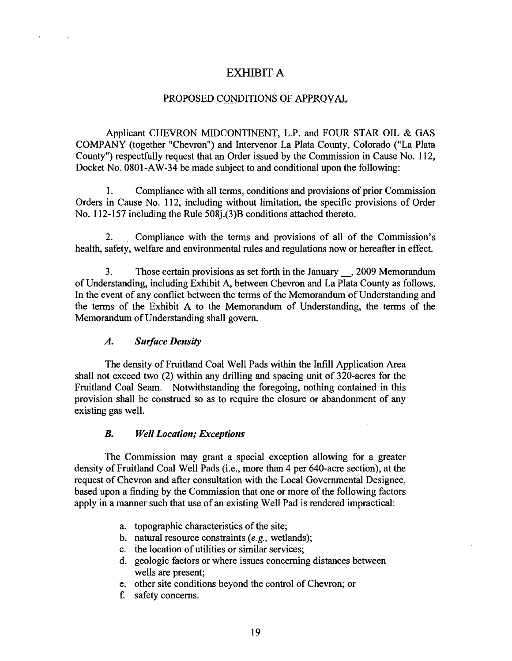# EXHIBIT A

## PROPOSED CONDITIONS OF APPROVAL

Applicant CHEVRON MIDCONTINENT, L.P. and FOUR STAR OIL & GAS COMPANY (together "Chevron") and Intervenor La Plata County, Colorado ("La Plata County") respectfully request that an Order issued by the Commission in Cause No. 112, Docket No. 0801-AW-34 be made subject to and conditional upon the following:

1. Compliance with all terms, conditions and provisions of prior Commission Orders in Cause No. 112, including without limitation, the specific provisions of Order No. 112-157 including the Rule 508j.(3)B conditions attached thereto.

2. . Compliance with the terms and provisions of all of the Commission's health, safety, welfare and environmental rules and regulations now or hereafter in effect.

3. Those certain provisions as set forth in the January \_, <sup>2009</sup> Memorandum ofUnderstanding, including Exhibit A, between Chevron and La Plata County as follows. In the event of any conflict between the terms of the Memorandum of Understanding and the terms of the Exhibit A to the Memorandum of Understanding, the terms of the Memorandum of Understanding shall govern.

# *A. Surface Density*

The density of Fruitland Coal Well Pads within the Intill Application Area shall not exceed two (2) within any drilling and spacing unit of 320-acres for the Fruitland Coal Seam. Notwithstanding the foregoing, nothing contained in this provision shall be construed so as to require the closure or abandonment of any existing gas well.

## *B. Well Location; Exceptions*

The Commission may grant a special exception allowing for a greater density of Fruitland Coal Well Pads (i.e., more than 4 per 640-acre section), at the request of Chevron and after consultation with the Local Governmental Designee, based upon a finding by the Commission that one or more of the following factors apply in a manner such that use of an existing Well Pad is rendered impractical:

- a. topographic characteristics of the site;
- b. natural resource constraints *(e.g.,* wetlands);
- c. the location of utilities or similar services;
- d. geologic factors or where issues concerning distances between wells are present;
- e. other site conditions beyond the control of Chevron; or
- f. safety concerns.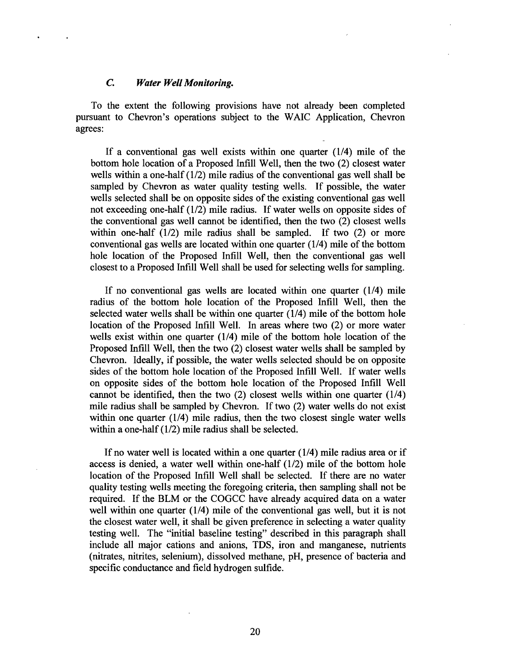#### c. *Water Well Monitoring.*

To the extent the following provisions have not already been completed pursuant to Chevron"s operations subject to the WAIC Application, Chevron agrees:

If a conventional gas well exists within one quarter (1/4) mile of the bottom hole location of a Proposed Infill Well, then the two (2) closest water wells within a one-half  $(1/2)$  mile radius of the conventional gas well shall be sampled by Chevron as water quality testing wells. If possible, the water wells selected shall be on opposite sides of the existing conventional gas well not exceeding one-half (1/2) mile radius. If water wells on opposite sides of the conventional gas well cannot be identified, then the two (2) closest wells within one-half (1/2) mile radius shall be sampled. If two (2) or more conventional gas wells are located within one quarter  $(1/4)$  mile of the bottom hole location of the Proposed Infill Well, then the conventional gas well closest to a Proposed Infill Well shall be used for selecting wells for sampling.

If no conventional gas wells are located within one quarter (1/4) mile radius of the bottom hole location of the Proposed Intill Well, then the selected water wells shall be within one quarter (1/4) mile of the bottom hole location of the Proposed Infill Well. In areas where two (2) or more water wells exist within one quarter (1/4) mile of the bottom hole location of the Proposed Infill Well, then the two (2) closest water wells shall be sampled by Chevron. Ideally, if possible, the water wells selected should be on opposite sides of the bottom hole location of the Proposed Infill Well. If water wells on opposite sides of the bottom hole location of the Proposed Infill Well cannot be identified, then the two (2) closest wells within one quarter (1/4) mile radius shall be sampled by Chevron. If two (2) water wells do not exist within one quarter (1/4) mile radius, then the two closest single water wells within a one-half  $(1/2)$  mile radius shall be selected.

If no water well is located within a one quarter (1/4) mile radius area or if access is denied, a water well within one-half (1/2) mile of the bottom hole location of the Proposed Infill Well shall be selected. If there are no water quality testing wells meeting the foregoing criteria, then sampling shall not be required. If the BLM or the COGCC have already acquired data on a water well within one quarter  $(1/4)$  mile of the conventional gas well, but it is not the closest water well, it shall be given preference in selecting a water quality testing well. The "initial baseline testing" described in this paragraph shall include all major cations and anions, TDS, iron and manganese, nutrients (nitrates, nitrites, selenium), dissolved methane, pH, presence of bacteria and specific conductance and field hydrogen sulfide.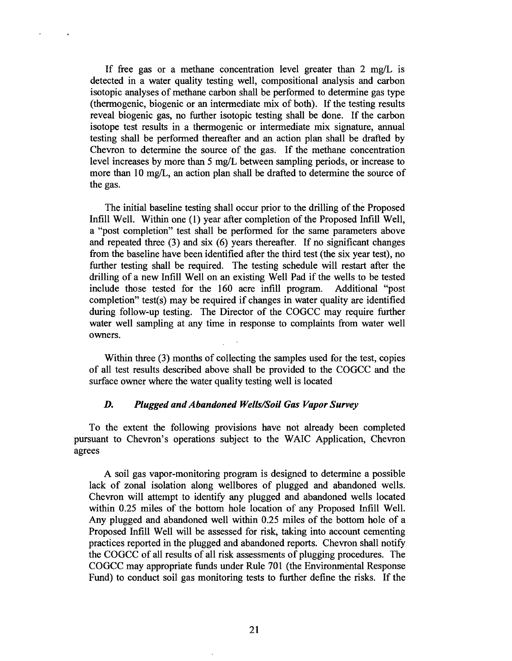If free gas or a methane concentration level greater than 2 mg/L is detected in a water quality testing well, compositional analysis and carbon isotopic analyses of methane carbon shall be performed to determine gas type (thermogenic, biogenic or an intermediate mix of both). If the testing results reveal biogenic gas, no further isotopic testing shall be done. If the carbon isotope test results in a thermogenic or intermediate mix signature, annual testing shall be performed thereafter and an action plan shall be drafted by Chevron to determine the source of the gas. If the methane concentration level increases by more than 5 mg/L between sampling periods, or increase to more than 10 mg/L, an action plan shall be drafted to determine the source of the gas.

The initial baseline testing shall occur prior to the drilling of the Proposed Infill Well. Within one (1) year after completion of the Proposed Infill Well, a "post completion" test shall be performed for the same parameters above and repeated three (3) and six (6) years thereafter. If no significant changes from the baseline have been identified after the third test (the six year test), no further testing shall be required. The testing schedule will restart after the drilling of a new Infill Well on an existing Well Pad if the wells to be tested include those tested for the 160 acre infill program. Additional "post completion" test(s) may be required if changes in water quality are identified during follow-up testing. The Director of the COGCC may require further water well sampling at any time in response to complaints from water well owners.

Within three (3) months of collecting the samples used for the test, copies of all test results described above shall 'be provided to the COGCC and the surface owner where the water quality testing well is located

### *D. Plugged andAbandoned Wells/Soil Gas Vapor Survey*

To the extent the following provisions have not already been completed pursuant to Chevron's operations subject to the WAIC Application, Chevron agrees

A soil gas vapor-monitoring program is designed to determine a possible lack of zonal isolation along wellbores of plugged and abandoned wells. Chevron will attempt to identify any plugged and abandoned wells located within 0.25 miles of the bottom hole location of any Proposed Intill Well. Any plugged and abandoned well within 0.25 miles of the bottom hole of a Proposed Intill Well will be assessed for risk, taking into account cementing practices reported in the plugged and abandoned reports. Chevron shall notify the COGCC of all results of all risk assessments of plugging procedures. The COGCC may appropriate funds under Rule 701 (the Environmental Response Fund) to conduct soil gas monitoring tests to further define the risks. If the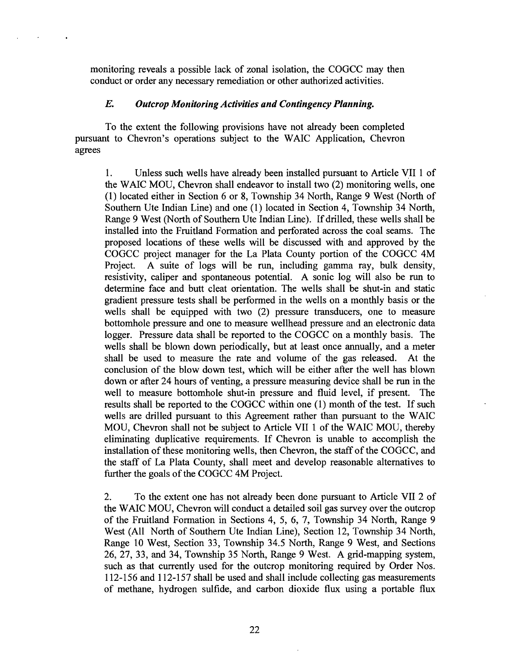monitoring reveals a possible lack of zonal isolation, the COGCC may then conduct or order any necessary remediation or other authorized activities.

### *E. Outcrop Monitoring Activities and Contingency Planning.*

To the extent the following provisions have not already been completed pursuant to Chevron's operations subject to the WAIC Application, Chevron agrees

1. Unless such wells have already been installed pursuant to Article yll 1 of the WAIC MOU, Chevron shall endeavor to install two (2) monitoring wells, one (1) located either in Section 6 or 8, Township 34 North, Range 9 West (North of Southern Ute Indian Line) and one (1) located in Section 4, Township 34 North, Range 9 West (North of Southern Ute Indian Line). If drilled, these wells shall be installed into the Fruitland Formation and perforated across the coal seams. The proposed locations of these wells will be discussed with and approved by the COGCC project manager for the La Plata County portion of the COGCC 4M Project. A suite of logs will be run, including gamma ray, bulk density, resistivity, caliper and spontaneous potential. A sonic log will also be run to determine face and butt cleat orientation. The wells shall be shut-in and static gradient pressure tests shall be performed in the wells on a monthly basis or the wells shall be equipped with two (2) pressure transducers, one to measure bottomhole pressure and one to measure wellhead pressure and an electronic data logger. Pressure data shall be reported to the COGCC on a monthly basis. The wells shall be blown down periodically, but at least once annually, and a meter shall be used to measure the rate and volume of the gas released. At the conclusion of the blow down test, which will be either after the well has blown down or after 24 hours of venting, a pressure measuring device shall be run in the well to measure bottomhole shut-in pressure and fluid level, if present. The results shall be reported to the COGCC within one (1) month of the test. If such wells are drilled pursuant to this Agreement rather than pursuant to the WAIC MOU, Chevron shall not be subject to Article VII 1 of the WAIC MOU, thereby eliminating duplicative requirements. If Chevron is unable to accomplish the installation of these monitoring wells, then Chevron, the staff of the COGCC, and the staff of La Plata County, shall meet and develop reasonable alternatives to further the goals of the COGCC 4M Project.

2. To the extent one has not already been done pursuant to Article VII 2 of the WAIC MOD, Chevron will conduct a detailed soil gas survey over the outcrop of the Fruitland Formation in Sections 4, 5, 6, 7, Township 34 North, Range 9 West (All North of Southern Ute Indian Line), Section 12, Township 34 North, Range 10 West, Section 33, Township 34.5 North, Range 9 West, and Sections 26, 27, 33, and 34, Township 35 North, Range 9 West. A grid-mapping system, such as that currently used for the outcrop monitoring required by Order Nos.  $112-156$  and  $112-157$  shall be used and shall include collecting gas measurements of methane, hydrogen sulfide, and carbon dioxide flux using a portable flux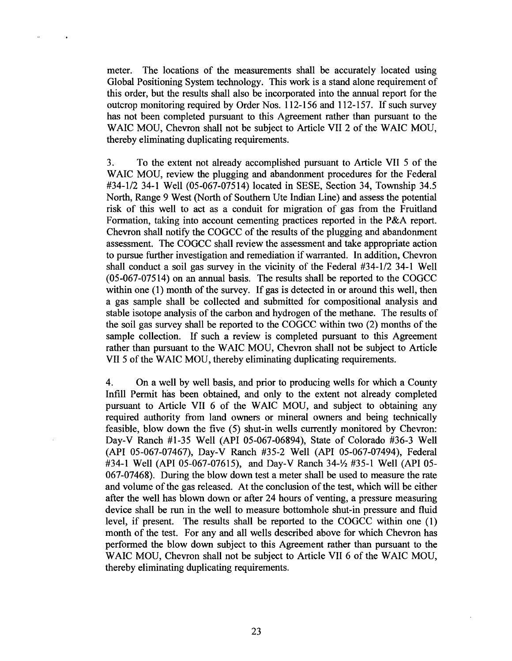meter. The locations of the measurements shall be accurately located using Global Positioning System technology. This work is a stand alone requirement of this order, but the results shall also be incorporated into the annual report for the outcrop monitoring required by Order Nos. 112-156 and 112-157. If such survey has not been completed pursuant to this Agreement rather than pursuant to the WAIC MOU, Chevron shall not be subject to Article VII 2 of the WAIC MOU, thereby eliminating duplicating requirements.

3. To the extent not already accomplished pursuant to Article VII 5 of the WAIC MOU, review the plugging and abandonment procedures for the Federal #34-1/2 34-1 Well (05-067-07514) located in SESE, Section 34, Township 34.5 North, Range 9 West (North of Southem Ute Indian Line) and assess the potential risk of this well to act as a conduit for migration of gas from the Fruitland Formation, taking into account cementing practices reported in the P&A report. Chevron shall notify the COGCC of the results of the plugging and abandonment assessment. The COGCC shall review the assessment and take appropriate action to pursue further investigation and remediation if warranted. In addition, Chevron shall conduct a soil gas survey in the vicinity of the Federal #34-1/2 34-1 Well (05-067-07514) on an annual basis. The results shall be reported to the COGCC within one  $(1)$  month of the survey. If gas is detected in or around this well, then a gas sample shall be collected and submitted for compositional analysis and stable isotope analysis of the carbon and hydrogen of the methane. The results of the soil gas survey shall be reported to the COGCC within two  $(2)$  months of the sample collection. If such a review is completed pursuant to this Agreement rather than pursuant to the WAIC MOU, Chevron shall not be subject to Article VII 5 of the WAIC MOU, thereby eliminating duplicating requirements.

4. On a well by well basis, and prior to producing wells for which a County Infill Permit has been obtained, and only to the extent not already completed pursuant to Article VII 6 of the WAIC MOU, and subject to obtaining any required authority from land owners or mineral owners and being technically feasible, blow down the five (5) shut-in wells currently monitored by Chevron: Day-V Ranch #1-35 Well (API 05-067-06894), State of Colorado #36-3 Well (API 05-067-07467), Day-V Ranch #35-2 Well (API 05-067-07494), Federal #34-1 Well (API 05-067-07615), and Day-V Ranch  $34-\frac{1}{2}$  #35-1 Well (API 05-067-07468). During the blow down test a meter shall be used to measure the rate and volume of the gas released. At the conclusion of the test, which will be either after the well has blown down or after 24 hours of venting, a pressure measuring device shall be run in the well to measure bottomhole shut-in pressure and fluid level, if present. The results shall be reported to the COGCC within one (1) month of the test. For any and all wells described above for which Chevron has performed the blow down subject to this Agreement rather than pursuant to the WAIC MOU, Chevron shall not be subject to Article VII 6 of the WAIC MOU, thereby eliminating duplicating requirements.